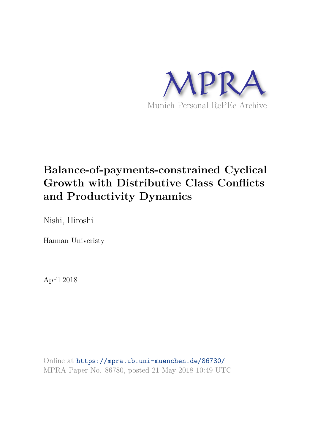

## **Balance-of-payments-constrained Cyclical Growth with Distributive Class Conflicts and Productivity Dynamics**

Nishi, Hiroshi

Hannan Univeristy

April 2018

Online at https://mpra.ub.uni-muenchen.de/86780/ MPRA Paper No. 86780, posted 21 May 2018 10:49 UTC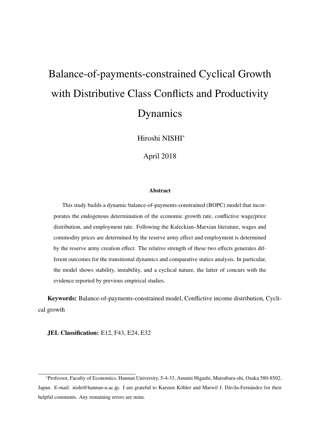# Balance-of-payments-constrained Cyclical Growth with Distributive Class Conflicts and Productivity Dynamics

Hiroshi NISHI<sup>∗</sup>

April 2018

#### **Abstract**

This study builds a dynamic balance-of-payments-constrained (BOPC) model that incorporates the endogenous determination of the economic growth rate, conflictive wage/price distribution, and employment rate. Following the Kaleckian–Marxian literature, wages and commodity prices are determined by the reserve army effect and employment is determined by the reserve army creation effect. The relative strength of these two effects generates different outcomes for the transitional dynamics and comparative statics analysis. In particular, the model shows stability, instability, and a cyclical nature, the latter of concurs with the evidence reported by previous empirical studies.

**Keywords:** Balance-of-payments-constrained model, Conflictive income distribution, Cyclical growth

**JEL Classification:** E12, F43, E24, E32

<sup>∗</sup>Professor, Faculty of Economics, Hannan University, 5-4-33, Amami Higashi, Matsubara-shi, Osaka 580-8502, Japan. E-mail: nishi@hannan-u.ac.jp. I am grateful to Karsten Köhler and Marwil J. Dávila-Fernández for their helpful comments. Any remaining errors are mine.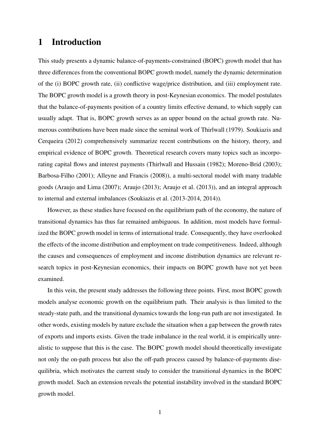## **1 Introduction**

This study presents a dynamic balance-of-payments-constrained (BOPC) growth model that has three differences from the conventional BOPC growth model, namely the dynamic determination of the (i) BOPC growth rate, (ii) conflictive wage/price distribution, and (iii) employment rate. The BOPC growth model is a growth theory in post-Keynesian economics. The model postulates that the balance-of-payments position of a country limits effective demand, to which supply can usually adapt. That is, BOPC growth serves as an upper bound on the actual growth rate. Numerous contributions have been made since the seminal work of Thirlwall (1979). Soukiazis and Cerqueira (2012) comprehensively summarize recent contributions on the history, theory, and empirical evidence of BOPC growth. Theoretical research covers many topics such as incorporating capital flows and interest payments (Thirlwall and Hussain (1982); Moreno-Brid (2003); Barbosa-Filho (2001); Alleyne and Francis (2008)), a multi-sectoral model with many tradable goods (Araujo and Lima (2007); Araujo (2013); Araujo et al. (2013)), and an integral approach to internal and external imbalances (Soukiazis et al. (2013-2014, 2014)).

However, as these studies have focused on the equilibrium path of the economy, the nature of transitional dynamics has thus far remained ambiguous. In addition, most models have formalized the BOPC growth model in terms of international trade. Consequently, they have overlooked the effects of the income distribution and employment on trade competitiveness. Indeed, although the causes and consequences of employment and income distribution dynamics are relevant research topics in post-Keynesian economics, their impacts on BOPC growth have not yet been examined.

In this vein, the present study addresses the following three points. First, most BOPC growth models analyse economic growth on the equilibrium path. Their analysis is thus limited to the steady-state path, and the transitional dynamics towards the long-run path are not investigated. In other words, existing models by nature exclude the situation when a gap between the growth rates of exports and imports exists. Given the trade imbalance in the real world, it is empirically unrealistic to suppose that this is the case. The BOPC growth model should theoretically investigate not only the on-path process but also the off-path process caused by balance-of-payments disequilibria, which motivates the current study to consider the transitional dynamics in the BOPC growth model. Such an extension reveals the potential instability involved in the standard BOPC growth model.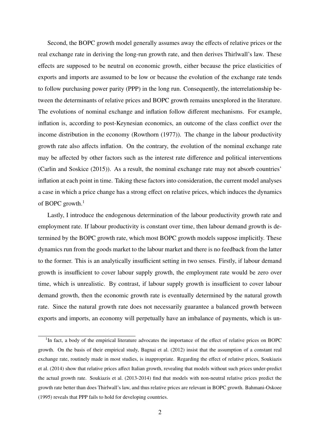Second, the BOPC growth model generally assumes away the effects of relative prices or the real exchange rate in deriving the long-run growth rate, and then derives Thirlwall's law. These effects are supposed to be neutral on economic growth, either because the price elasticities of exports and imports are assumed to be low or because the evolution of the exchange rate tends to follow purchasing power parity (PPP) in the long run. Consequently, the interrelationship between the determinants of relative prices and BOPC growth remains unexplored in the literature. The evolutions of nominal exchange and inflation follow different mechanisms. For example, inflation is, according to post-Keynesian economics, an outcome of the class conflict over the income distribution in the economy (Rowthorn (1977)). The change in the labour productivity growth rate also affects inflation. On the contrary, the evolution of the nominal exchange rate may be affected by other factors such as the interest rate difference and political interventions (Carlin and Soskice (2015)). As a result, the nominal exchange rate may not absorb countries' inflation at each point in time. Taking these factors into consideration, the current model analyses a case in which a price change has a strong effect on relative prices, which induces the dynamics of BOPC growth.<sup>1</sup>

Lastly, I introduce the endogenous determination of the labour productivity growth rate and employment rate. If labour productivity is constant over time, then labour demand growth is determined by the BOPC growth rate, which most BOPC growth models suppose implicitly. These dynamics run from the goods market to the labour market and there is no feedback from the latter to the former. This is an analytically insufficient setting in two senses. Firstly, if labour demand growth is insufficient to cover labour supply growth, the employment rate would be zero over time, which is unrealistic. By contrast, if labour supply growth is insufficient to cover labour demand growth, then the economic growth rate is eventually determined by the natural growth rate. Since the natural growth rate does not necessarily guarantee a balanced growth between exports and imports, an economy will perpetually have an imbalance of payments, which is un-

<sup>&</sup>lt;sup>1</sup>In fact, a body of the empirical literature advocates the importance of the effect of relative prices on BOPC growth. On the basis of their empirical study, Bagnai et al. (2012) insist that the assumption of a constant real exchange rate, routinely made in most studies, is inappropriate. Regarding the effect of relative prices, Soukiazis et al. (2014) show that relative prices affect Italian growth, revealing that models without such prices under-predict the actual growth rate. Soukiazis et al. (2013-2014) find that models with non-neutral relative prices predict the growth rate better than does Thirlwall's law, and thus relative prices are relevant in BOPC growth. Bahmani-Oskoee (1995) reveals that PPP fails to hold for developing countries.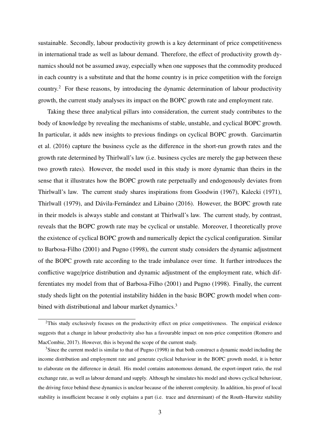sustainable. Secondly, labour productivity growth is a key determinant of price competitiveness in international trade as well as labour demand. Therefore, the effect of productivity growth dynamics should not be assumed away, especially when one supposes that the commodity produced in each country is a substitute and that the home country is in price competition with the foreign country.<sup>2</sup> For these reasons, by introducing the dynamic determination of labour productivity growth, the current study analyses its impact on the BOPC growth rate and employment rate.

Taking these three analytical pillars into consideration, the current study contributes to the body of knowledge by revealing the mechanisms of stable, unstable, and cyclical BOPC growth. In particular, it adds new insights to previous findings on cyclical BOPC growth. Garcimartin et al. (2016) capture the business cycle as the difference in the short-run growth rates and the growth rate determined by Thirlwall's law (i.e. business cycles are merely the gap between these two growth rates). However, the model used in this study is more dynamic than theirs in the sense that it illustrates how the BOPC growth rate perpetually and endogenously deviates from Thirlwall's law. The current study shares inspirations from Goodwin (1967), Kalecki (1971), Thirlwall (1979), and Dávila-Fernández and Libaino (2016). However, the BOPC growth rate in their models is always stable and constant at Thirlwall's law. The current study, by contrast, reveals that the BOPC growth rate may be cyclical or unstable. Moreover, I theoretically prove the existence of cyclical BOPC growth and numerically depict the cyclical configuration. Similar to Barbosa-Filho (2001) and Pugno (1998), the current study considers the dynamic adjustment of the BOPC growth rate according to the trade imbalance over time. It further introduces the conflictive wage/price distribution and dynamic adjustment of the employment rate, which differentiates my model from that of Barbosa-Filho (2001) and Pugno (1998). Finally, the current study sheds light on the potential instability hidden in the basic BOPC growth model when combined with distributional and labour market dynamics.<sup>3</sup>

<sup>&</sup>lt;sup>2</sup>This study exclusively focuses on the productivity effect on price competitiveness. The empirical evidence suggests that a change in labour productivity also has a favourable impact on non-price competition (Romero and MacCombie, 2017). However, this is beyond the scope of the current study.

<sup>&</sup>lt;sup>3</sup>Since the current model is similar to that of Pugno (1998) in that both construct a dynamic model including the income distribution and employment rate and generate cyclical behaviour in the BOPC growth model, it is better to elaborate on the difference in detail. His model contains autonomous demand, the export-import ratio, the real exchange rate, as well as labour demand and supply. Although he simulates his model and shows cyclical behaviour, the driving force behind these dynamics is unclear because of the inherent complexity. In addition, his proof of local stability is insufficient because it only explains a part (i.e. trace and determinant) of the Routh–Hurwitz stability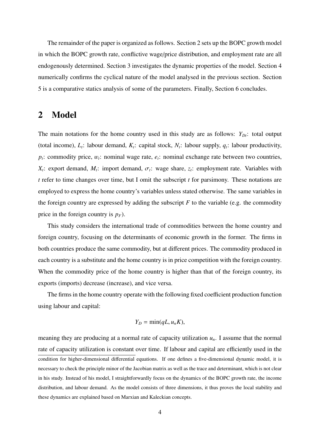The remainder of the paper is organized as follows. Section 2 sets up the BOPC growth model in which the BOPC growth rate, conflictive wage/price distribution, and employment rate are all endogenously determined. Section 3 investigates the dynamic properties of the model. Section 4 numerically confirms the cyclical nature of the model analysed in the previous section. Section 5 is a comparative statics analysis of some of the parameters. Finally, Section 6 concludes.

## **2 Model**

The main notations for the home country used in this study are as follows:  $Y_{Dt}$ : total output (total income),  $L_t$ : labour demand,  $K_t$ : capital stock,  $N_t$ : labour supply,  $q_t$ : labour productivity, *pt* : commodity price, w*<sup>t</sup>* : nominal wage rate, *e<sup>t</sup>* : nominal exchange rate between two countries, *X*<sub>t</sub>: export demand, *M*<sub>t</sub>: import demand,  $\sigma$ <sub>t</sub>: wage share,  $z$ <sub>t</sub>: employment rate. Variables with *t* refer to time changes over time, but I omit the subscript *t* for parsimony. These notations are employed to express the home country's variables unless stated otherwise. The same variables in the foreign country are expressed by adding the subscript  $F$  to the variable (e.g. the commodity price in the foreign country is  $p_F$ ).

This study considers the international trade of commodities between the home country and foreign country, focusing on the determinants of economic growth in the former. The firms in both countries produce the same commodity, but at different prices. The commodity produced in each country is a substitute and the home country is in price competition with the foreign country. When the commodity price of the home country is higher than that of the foreign country, its exports (imports) decrease (increase), and vice versa.

The firms in the home country operate with the following fixed coefficient production function using labour and capital:

$$
Y_D = \min(qL, u_n K),
$$

meaning they are producing at a normal rate of capacity utilization  $u_n$ . I assume that the normal rate of capacity utilization is constant over time. If labour and capital are efficiently used in the condition for higher-dimensional differential equations. If one defines a five-dimensional dynamic model, it is necessary to check the principle minor of the Jacobian matrix as well as the trace and determinant, which is not clear in his study. Instead of his model, I straightforwardly focus on the dynamics of the BOPC growth rate, the income distribution, and labour demand. As the model consists of three dimensions, it thus proves the local stability and these dynamics are explained based on Marxian and Kaleckian concepts.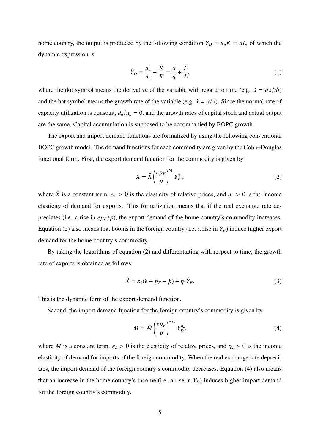home country, the output is produced by the following condition  $Y_D = u_n K = qL$ , of which the dynamic expression is

$$
\hat{Y}_D = \frac{\dot{u}_n}{u_n} + \frac{\dot{K}}{K} = \frac{\dot{q}}{q} + \frac{\dot{L}}{L},\tag{1}
$$

where the dot symbol means the derivative of the variable with regard to time (e.g.  $\dot{x} = dx/dt$ ) and the hat symbol means the growth rate of the variable (e.g.  $\hat{x} = \dot{x}/x$ ). Since the normal rate of capacity utilization is constant,  $\dot{u}_n/u_n = 0$ , and the growth rates of capital stock and actual output are the same. Capital accumulation is supposed to be accompanied by BOPC growth.

The export and import demand functions are formalized by using the following conventional BOPC growth model. The demand functions for each commodity are given by the Cobb–Douglas functional form. First, the export demand function for the commodity is given by

$$
X = \bar{X} \left(\frac{e p_F}{p}\right)^{\varepsilon_1} Y_F^{\eta_1},\tag{2}
$$

where  $\bar{X}$  is a constant term,  $\varepsilon_1 > 0$  is the elasticity of relative prices, and  $\eta_1 > 0$  is the income elasticity of demand for exports. This formalization means that if the real exchange rate depreciates (i.e. a rise in  $ep_F/p$ ), the export demand of the home country's commodity increases. Equation (2) also means that booms in the foreign country (i.e. a rise in  $Y_F$ ) induce higher export demand for the home country's commodity.

By taking the logarithms of equation (2) and differentiating with respect to time, the growth rate of exports is obtained as follows:

$$
\hat{X} = \varepsilon_1(\hat{e} + \hat{p}_F - \hat{p}) + \eta_1 \hat{Y}_F.
$$
\n(3)

This is the dynamic form of the export demand function.

Second, the import demand function for the foreign country's commodity is given by

$$
M = \bar{M} \left(\frac{ep_F}{p}\right)^{-\varepsilon_2} Y_D^{\eta_2},\tag{4}
$$

where  $\overline{M}$  is a constant term,  $\varepsilon_2 > 0$  is the elasticity of relative prices, and  $\eta_2 > 0$  is the income elasticity of demand for imports of the foreign commodity. When the real exchange rate depreciates, the import demand of the foreign country's commodity decreases. Equation (4) also means that an increase in the home country's income (i.e. a rise in  $Y_D$ ) induces higher import demand for the foreign country's commodity.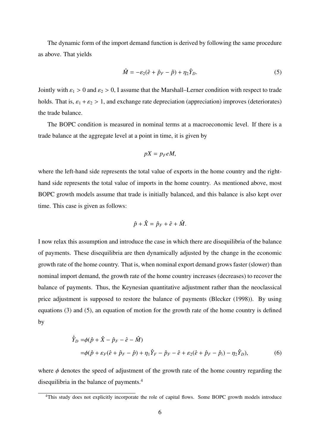The dynamic form of the import demand function is derived by following the same procedure as above. That yields

$$
\hat{M} = -\varepsilon_2 (\hat{e} + \hat{p}_F - \hat{p}) + \eta_2 \hat{Y}_D.
$$
\n(5)

Jointly with  $\varepsilon_1 > 0$  and  $\varepsilon_2 > 0$ , I assume that the Marshall–Lerner condition with respect to trade holds. That is,  $\varepsilon_1 + \varepsilon_2 > 1$ , and exchange rate depreciation (appreciation) improves (deteriorates) the trade balance.

The BOPC condition is measured in nominal terms at a macroeconomic level. If there is a trade balance at the aggregate level at a point in time, it is given by

$$
pX=p_{F}eM,
$$

where the left-hand side represents the total value of exports in the home country and the righthand side represents the total value of imports in the home country. As mentioned above, most BOPC growth models assume that trade is initially balanced, and this balance is also kept over time. This case is given as follows:

$$
\hat{p} + \hat{X} = \hat{p}_F + \hat{e} + \hat{M}.
$$

I now relax this assumption and introduce the case in which there are disequilibria of the balance of payments. These disequilibria are then dynamically adjusted by the change in the economic growth rate of the home country. That is, when nominal export demand grows faster (slower) than nominal import demand, the growth rate of the home country increases (decreases) to recover the balance of payments. Thus, the Keynesian quantitative adjustment rather than the neoclassical price adjustment is supposed to restore the balance of payments (Blecker (1998)). By using equations (3) and (5), an equation of motion for the growth rate of the home country is defined by

$$
\dot{\hat{Y}}_D = \phi(\hat{p} + \hat{X} - \hat{p}_F - \hat{e} - \hat{M})
$$
  
=  $\phi(\hat{p} + \varepsilon_F(\hat{e} + \hat{p}_F - \hat{p}) + \eta_1 \hat{Y}_F - \hat{p}_F - \hat{e} + \varepsilon_2(\hat{e} + \hat{p}_F - \hat{p}_i) - \eta_2 \hat{Y}_D),$  (6)

where  $\phi$  denotes the speed of adjustment of the growth rate of the home country regarding the disequilibria in the balance of payments.<sup>4</sup>

<sup>&</sup>lt;sup>4</sup>This study does not explicitly incorporate the role of capital flows. Some BOPC growth models introduce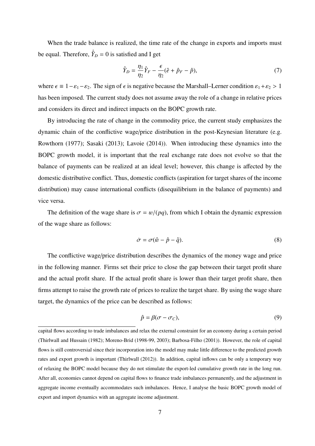When the trade balance is realized, the time rate of the change in exports and imports must be equal. Therefore,  $\dot{\hat{Y}}_D = 0$  is satisfied and I get

$$
\hat{Y}_D = \frac{\eta_1}{\eta_2} \hat{Y}_F - \frac{\epsilon}{\eta_2} (\hat{e} + \hat{p}_F - \hat{p}),\tag{7}
$$

where  $\epsilon \equiv 1 - \epsilon_1 - \epsilon_2$ . The sign of  $\epsilon$  is negative because the Marshall–Lerner condition  $\epsilon_1 + \epsilon_2 > 1$ has been imposed. The current study does not assume away the role of a change in relative prices and considers its direct and indirect impacts on the BOPC growth rate.

By introducing the rate of change in the commodity price, the current study emphasizes the dynamic chain of the conflictive wage/price distribution in the post-Keynesian literature (e.g. Rowthorn (1977); Sasaki (2013); Lavoie (2014)). When introducing these dynamics into the BOPC growth model, it is important that the real exchange rate does not evolve so that the balance of payments can be realized at an ideal level; however, this change is affected by the domestic distributive conflict. Thus, domestic conflicts (aspiration for target shares of the income distribution) may cause international conflicts (disequilibrium in the balance of payments) and vice versa.

The definition of the wage share is  $\sigma = w/(pq)$ , from which I obtain the dynamic expression of the wage share as follows:

$$
\dot{\sigma} = \sigma(\hat{w} - \hat{p} - \hat{q}).\tag{8}
$$

The conflictive wage/price distribution describes the dynamics of the money wage and price in the following manner. Firms set their price to close the gap between their target profit share and the actual profit share. If the actual profit share is lower than their target profit share, then firms attempt to raise the growth rate of prices to realize the target share. By using the wage share target, the dynamics of the price can be described as follows:

$$
\hat{p} = \beta(\sigma - \sigma_C),\tag{9}
$$

capital flows according to trade imbalances and relax the external constraint for an economy during a certain period (Thirlwall and Hussain (1982); Moreno-Brid (1998-99, 2003); Barbosa-Filho (2001)). However, the role of capital flows is still controversial since their incorporation into the model may make little difference to the predicted growth rates and export growth is important (Thirlwall (2012)). In addition, capital inflows can be only a temporary way of relaxing the BOPC model because they do not stimulate the export-led cumulative growth rate in the long run. After all, economies cannot depend on capital flows to finance trade imbalances permanently, and the adjustment in aggregate income eventually accommodates such imbalances. Hence, I analyse the basic BOPC growth model of export and import dynamics with an aggregate income adjustment.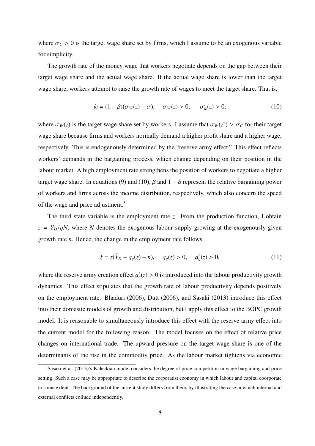where  $\sigma_c > 0$  is the target wage share set by firms, which I assume to be an exogenous variable for simplicity.

The growth rate of the money wage that workers negotiate depends on the gap between their target wage share and the actual wage share. If the actual wage share is lower than the target wage share, workers attempt to raise the growth rate of wages to meet the target share. That is,

$$
\hat{w} = (1 - \beta)(\sigma_W(z) - \sigma), \quad \sigma_W(z) > 0, \quad \sigma'_w(z) > 0,
$$
\n(10)

where  $\sigma_W(z)$  is the target wage share set by workers. I assume that  $\sigma_W(z^*) > \sigma_C$  for their target wage share because firms and workers normally demand a higher profit share and a higher wage, respectively. This is endogenously determined by the "reserve army effect." This effect reflects workers' demands in the bargaining process, which change depending on their position in the labour market. A high employment rate strengthens the position of workers to negotiate a higher target wage share. In equations (9) and (10),  $\beta$  and  $1 - \beta$  represent the relative bargaining power of workers and firms across the income distribution, respectively, which also concern the speed of the wage and price adjustment.<sup>5</sup>

The third state variable is the employment rate *z*. From the production function, I obtain  $z = Y_D/qN$ , where *N* denotes the exogenous labour supply growing at the exogenously given growth rate *n*. Hence, the change in the employment rate follows

$$
\dot{z} = z(\hat{Y}_D - g_q(z) - n), \quad g_q(z) > 0, \quad g'_q(z) > 0,
$$
\n(11)

where the reserve army creation effect  $g'$  $q'(z) > 0$  is introduced into the labour productivity growth dynamics. This effect stipulates that the growth rate of labour productivity depends positively on the employment rate. Bhaduri (2006), Dutt (2006), and Sasaki (2013) introduce this effect into their domestic models of growth and distribution, but I apply this effect to the BOPC growth model. It is reasonable to simultaneously introduce this effect with the reserve army effect into the current model for the following reason. The model focuses on the effect of relative price changes on international trade. The upward pressure on the target wage share is one of the determinants of the rise in the commodity price. As the labour market tightens via economic

<sup>&</sup>lt;sup>5</sup>Sasaki et al. (2013)'s Kaleckian model considers the degree of price competition in wage bargaining and price setting. Such a case may be appropriate to describe the corporatist economy in which labour and capital coorporate to some extent. The background of the current study differs from theirs by illustrating the case in which internal and external conflicts collude independently.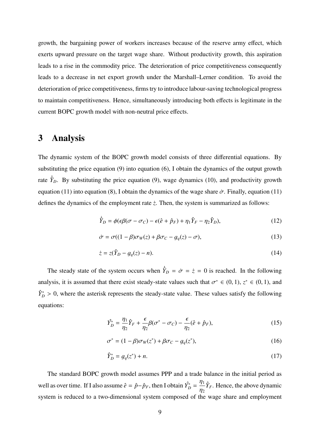growth, the bargaining power of workers increases because of the reserve army effect, which exerts upward pressure on the target wage share. Without productivity growth, this aspiration leads to a rise in the commodity price. The deterioration of price competitiveness consequently leads to a decrease in net export growth under the Marshall–Lerner condition. To avoid the deterioration of price competitiveness, firms try to introduce labour-saving technological progress to maintain competitiveness. Hence, simultaneously introducing both effects is legitimate in the current BOPC growth model with non-neutral price effects.

## **3 Analysis**

The dynamic system of the BOPC growth model consists of three differential equations. By substituting the price equation (9) into equation (6), I obtain the dynamics of the output growth rate  $\dot{Y}_D$ . By substituting the price equation (9), wage dynamics (10), and productivity growth equation (11) into equation (8), I obtain the dynamics of the wage share  $\dot{\sigma}$ . Finally, equation (11) defines the dynamics of the employment rate  $\dot{z}$ . Then, the system is summarized as follows:

$$
\dot{\hat{Y}}_D = \phi(\epsilon \beta(\sigma - \sigma_C) - \epsilon(\hat{e} + \hat{p}_F) + \eta_1 \hat{Y}_F - \eta_2 \hat{Y}_D),\tag{12}
$$

$$
\dot{\sigma} = \sigma((1 - \beta)\sigma_W(z) + \beta\sigma_C - g_q(z) - \sigma),\tag{13}
$$

$$
\dot{z} = z(\hat{Y}_D - g_q(z) - n). \tag{14}
$$

The steady state of the system occurs when  $\dot{Y}_D = \dot{\sigma} = \dot{z} = 0$  is reached. In the following analysis, it is assumed that there exist steady-state values such that  $\sigma^* \in (0, 1)$ ,  $z^* \in (0, 1)$ , and  $\hat{Y}_{D}^{*} > 0$ , where the asterisk represents the steady-state value. These values satisfy the following equations:

$$
\hat{Y}_D^* = \frac{\eta_1}{\eta_2} \hat{Y}_F + \frac{\epsilon}{\eta_2} \beta (\sigma^* - \sigma_C) - \frac{\epsilon}{\eta_2} (\hat{e} + \hat{p}_F),\tag{15}
$$

$$
\sigma^* = (1 - \beta)\sigma_W(z^*) + \beta\sigma_C - g_q(z^*),
$$
\n(16)

$$
\hat{Y}_D^* = g_q(z^*) + n. \tag{17}
$$

The standard BOPC growth model assumes PPP and a trade balance in the initial period as well as over time. If I also assume  $\hat{e} = \hat{p} - \hat{p}_F$ , then I obtain  $\hat{Y}_D^* = \frac{\eta_1}{n_2}$  $\eta_2$  $\hat{Y}_F$ . Hence, the above dynamic system is reduced to a two-dimensional system composed of the wage share and employment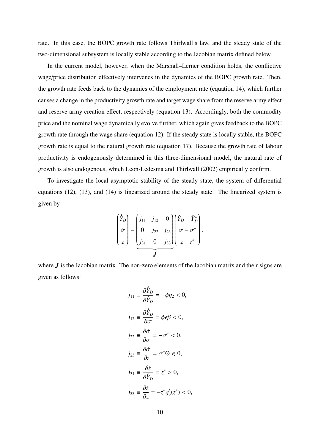rate. In this case, the BOPC growth rate follows Thirlwall's law, and the steady state of the two-dimensional subsystem is locally stable according to the Jacobian matrix defined below.

In the current model, however, when the Marshall–Lerner condition holds, the conflictive wage/price distribution effectively intervenes in the dynamics of the BOPC growth rate. Then, the growth rate feeds back to the dynamics of the employment rate (equation 14), which further causes a change in the productivity growth rate and target wage share from the reserve army effect and reserve army creation effect, respectively (equation 13). Accordingly, both the commodity price and the nominal wage dynamically evolve further, which again gives feedback to the BOPC growth rate through the wage share (equation 12). If the steady state is locally stable, the BOPC growth rate is equal to the natural growth rate (equation 17). Because the growth rate of labour productivity is endogenously determined in this three-dimensional model, the natural rate of growth is also endogenous, which Leon-Ledesma and Thirlwall (2002) empirically confirm.

To investigate the local asymptotic stability of the steady state, the system of differential equations (12), (13), and (14) is linearized around the steady state. The linearized system is given by

$$
\begin{pmatrix} \dot{\hat{Y}}_D \\ \dot{\sigma} \\ \dot{z} \end{pmatrix} = \begin{pmatrix} j_{11} & j_{12} & 0 \\ 0 & j_{22} & j_{23} \\ j_{31} & 0 & j_{33} \end{pmatrix} \begin{pmatrix} \hat{Y}_D - \hat{Y}_D^* \\ \sigma - \sigma^* \\ z - z^* \end{pmatrix},
$$

where *J* is the Jacobian matrix. The non-zero elements of the Jacobian matrix and their signs are given as follows:

$$
j_{11} \equiv \frac{\partial \dot{\hat{Y}}_D}{\partial \hat{Y}_D} = -\phi \eta_2 < 0,
$$
\n
$$
j_{12} \equiv \frac{\partial \dot{\hat{Y}}_D}{\partial \sigma} = \phi \epsilon \beta < 0,
$$
\n
$$
j_{22} \equiv \frac{\partial \dot{\sigma}}{\partial \sigma} = -\sigma^* < 0,
$$
\n
$$
j_{23} \equiv \frac{\partial \dot{\sigma}}{\partial z} = \sigma^* \Theta \ge 0,
$$
\n
$$
j_{31} \equiv \frac{\partial \dot{z}}{\partial \hat{Y}_D} = z^* > 0,
$$
\n
$$
j_{33} \equiv \frac{\partial \dot{z}}{\partial z} = -z^* g_q'(z^*) < 0,
$$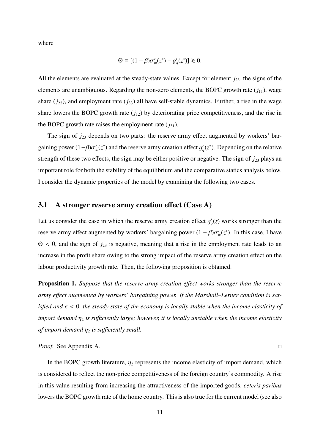where

$$
\Theta \equiv [(1 - \beta)\sigma_w'(z^*) - g_q'(z^*)] \geq 0.
$$

All the elements are evaluated at the steady-state values. Except for element *j*<sub>23</sub>, the signs of the elements are unambiguous. Regarding the non-zero elements, the BOPC growth rate  $(j_{11})$ , wage share  $(j_{22})$ , and employment rate  $(j_{33})$  all have self-stable dynamics. Further, a rise in the wage share lowers the BOPC growth rate  $(j_{12})$  by deteriorating price competitiveness, and the rise in the BOPC growth rate raises the employment rate  $(j_{31})$ .

The sign of  $j_{23}$  depends on two parts: the reserve army effect augmented by workers' bargaining power  $(1 - \beta)\sigma'_n$  $y_w'(z^*)$  and the reserve army creation effect  $g'_q$  $q'(z^*)$ . Depending on the relative strength of these two effects, the sign may be either positive or negative. The sign of  $j_{23}$  plays an important role for both the stability of the equilibrium and the comparative statics analysis below. I consider the dynamic properties of the model by examining the following two cases.

#### **3.1** A stronger reserve army creation effect (Case A)

Let us consider the case in which the reserve army creation effect  $g'$ *q* (*z*) works stronger than the reserve army effect augmented by workers' bargaining power  $(1 - \beta)\sigma'$  $v_w'(z^*)$ . In this case, I have  $\Theta$  < 0, and the sign of  $j_{23}$  is negative, meaning that a rise in the employment rate leads to an increase in the profit share owing to the strong impact of the reserve army creation effect on the labour productivity growth rate. Then, the following proposition is obtained.

**Proposition 1.** Suppose that the reserve army creation effect works stronger than the reserve *army e*ff*ect augmented by workers' bargaining power. If the Marshall–Lerner condition is satisfied and*  $\epsilon$  < 0, the steady state of the economy is locally stable when the income elasticity of *import demand*  $η<sub>2</sub>$  *is sufficiently large; however, it is locally unstable when the income elasticity of import demand*  $\eta_2$  *is sufficiently small.* 

*Proof.* See Appendix A.

In the BOPC growth literature,  $\eta_2$  represents the income elasticity of import demand, which is considered to reflect the non-price competitiveness of the foreign country's commodity. A rise in this value resulting from increasing the attractiveness of the imported goods, *ceteris paribus* lowers the BOPC growth rate of the home country. This is also true for the current model (see also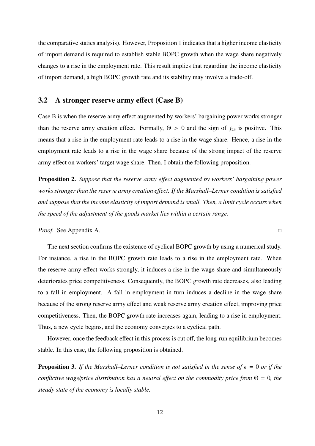the comparative statics analysis). However, Proposition 1 indicates that a higher income elasticity of import demand is required to establish stable BOPC growth when the wage share negatively changes to a rise in the employment rate. This result implies that regarding the income elasticity of import demand, a high BOPC growth rate and its stability may involve a trade-off.

#### **3.2 A stronger reserve army e**ff**ect (Case B)**

Case B is when the reserve army effect augmented by workers' bargaining power works stronger than the reserve army creation effect. Formally,  $\Theta > 0$  and the sign of  $j_{23}$  is positive. This means that a rise in the employment rate leads to a rise in the wage share. Hence, a rise in the employment rate leads to a rise in the wage share because of the strong impact of the reserve army effect on workers' target wage share. Then, I obtain the following proposition.

**Proposition 2.** *Suppose that the reserve army e*ff*ect augmented by workers' bargaining power works stronger than the reserve army creation e*ff*ect. If the Marshall–Lerner condition is satisfied and suppose that the income elasticity of import demand is small. Then, a limit cycle occurs when the speed of the adjustment of the goods market lies within a certain range.*

*Proof.* See Appendix A. □

The next section confirms the existence of cyclical BOPC growth by using a numerical study. For instance, a rise in the BOPC growth rate leads to a rise in the employment rate. When the reserve army effect works strongly, it induces a rise in the wage share and simultaneously deteriorates price competitiveness. Consequently, the BOPC growth rate decreases, also leading to a fall in employment. A fall in employment in turn induces a decline in the wage share because of the strong reserve army effect and weak reserve army creation effect, improving price competitiveness. Then, the BOPC growth rate increases again, leading to a rise in employment. Thus, a new cycle begins, and the economy converges to a cyclical path.

However, once the feedback effect in this process is cut off, the long-run equilibrium becomes stable. In this case, the following proposition is obtained.

**Proposition 3.** *If the Marshall–Lerner condition is not satisfied in the sense of*  $\epsilon = 0$  *or if the conflictive wage*/*price distribution has a neutral e*ff*ect on the commodity price from* Θ = 0*, the steady state of the economy is locally stable.*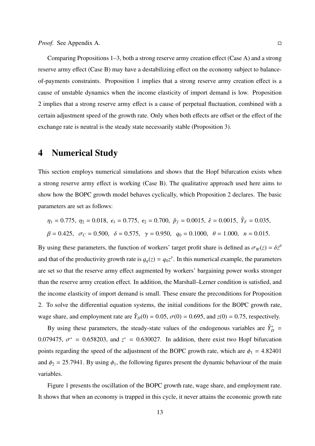Comparing Propositions 1–3, both a strong reserve army creation effect (Case A) and a strong reserve army effect (Case B) may have a destabilizing effect on the economy subject to balanceof-payments constraints. Proposition 1 implies that a strong reserve army creation effect is a cause of unstable dynamics when the income elasticity of import demand is low. Proposition 2 implies that a strong reserve army effect is a cause of perpetual fluctuation, combined with a certain adjustment speed of the growth rate. Only when both effects are offset or the effect of the exchange rate is neutral is the steady state necessarily stable (Proposition 3).

### **4 Numerical Study**

This section employs numerical simulations and shows that the Hopf bifurcation exists when a strong reserve army effect is working (Case B). The qualitative approach used here aims to show how the BOPC growth model behaves cyclically, which Proposition 2 declares. The basic parameters are set as follows:

$$
\eta_1 = 0.775, \ \eta_2 = 0.018, \ \epsilon_1 = 0.775, \ \epsilon_2 = 0.700, \ \hat{p}_f = 0.0015, \ \hat{e} = 0.0015, \ \hat{Y}_F = 0.035,
$$
  

$$
\beta = 0.425, \ \sigma_C = 0.500, \ \delta = 0.575, \ \gamma = 0.950, \ \ q_0 = 0.1000, \ \theta = 1.000, \ \ n = 0.015.
$$

By using these parameters, the function of workers' target profit share is defined as  $\sigma_w(z) = \delta z^{\theta}$ and that of the productivity growth rate is  $g_q(z) = q_0 z^{\gamma}$ . In this numerical example, the parameters are set so that the reserve army effect augmented by workers' bargaining power works stronger than the reserve army creation effect. In addition, the Marshall–Lerner condition is satisfied, and the income elasticity of import demand is small. These ensure the preconditions for Proposition 2. To solve the differential equation systems, the initial conditions for the BOPC growth rate, wage share, and employment rate are  $\hat{Y}_D(0) = 0.05$ ,  $\sigma(0) = 0.695$ , and  $z(0) = 0.75$ , respectively.

By using these parameters, the steady-state values of the endogenous variables are  $\hat{Y}_{D}^{*}$  = 0.079475,  $\sigma^* = 0.658203$ , and  $z^* = 0.630027$ . In addition, there exist two Hopf bifurcation points regarding the speed of the adjustment of the BOPC growth rate, which are  $\phi_1 = 4.82401$ and  $\phi_2 = 25.7941$ . By using  $\phi_1$ , the following figures present the dynamic behaviour of the main variables.

Figure 1 presents the oscillation of the BOPC growth rate, wage share, and employment rate. It shows that when an economy is trapped in this cycle, it never attains the economic growth rate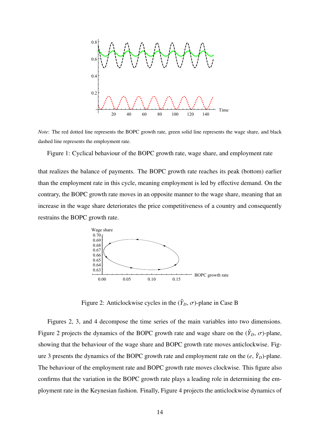

*Note*: The red dotted line represents the BOPC growth rate, green solid line represents the wage share, and black dashed line represents the employment rate.

Figure 1: Cyclical behaviour of the BOPC growth rate, wage share, and employment rate

that realizes the balance of payments. The BOPC growth rate reaches its peak (bottom) earlier than the employment rate in this cycle, meaning employment is led by effective demand. On the contrary, the BOPC growth rate moves in an opposite manner to the wage share, meaning that an increase in the wage share deteriorates the price competitiveness of a country and consequently restrains the BOPC growth rate.



Figure 2: Anticlockwise cycles in the  $(\hat{Y}_D, \sigma)$ -plane in Case B

Figures 2, 3, and 4 decompose the time series of the main variables into two dimensions. Figure 2 projects the dynamics of the BOPC growth rate and wage share on the  $(\hat{Y}_D, \sigma)$ -plane, showing that the behaviour of the wage share and BOPC growth rate moves anticlockwise. Figure 3 presents the dynamics of the BOPC growth rate and employment rate on the  $(e, \hat{Y}_D)$ -plane. The behaviour of the employment rate and BOPC growth rate moves clockwise. This figure also confirms that the variation in the BOPC growth rate plays a leading role in determining the employment rate in the Keynesian fashion. Finally, Figure 4 projects the anticlockwise dynamics of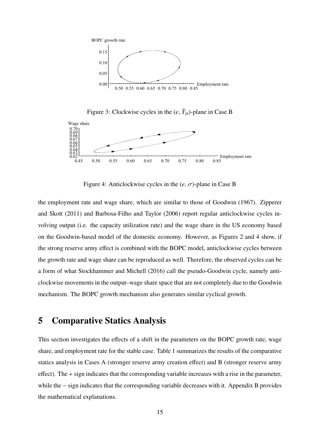

Figure 3: Clockwise cycles in the  $(e, \hat{Y}_D)$ -plane in Case B



Figure 4: Anticlockwise cycles in the (*e*, σ)-plane in Case B

the employment rate and wage share, which are similar to those of Goodwin (1967). Zipperer and Skott (2011) and Barbosa-Filho and Taylor (2006) report regular anticlockwise cycles involving output (i.e. the capacity utilization rate) and the wage share in the US economy based on the Goodwin-based model of the domestic economy. However, as Figures 2 and 4 show, if the strong reserve army effect is combined with the BOPC model, anticlockwise cycles between the growth rate and wage share can be reproduced as well. Therefore, the observed cycles can be a form of what Stockhammer and Michell (2016) call the pseudo-Goodwin cycle, namely anticlockwise movements in the output–wage share space that are not completely due to the Goodwin mechanism. The BOPC growth mechanism also generates similar cyclical growth.

## **5 Comparative Statics Analysis**

This section investigates the effects of a shift in the parameters on the BOPC growth rate, wage share, and employment rate for the stable case. Table 1 summarizes the results of the comparative statics analysis in Cases A (stronger reserve army creation effect) and B (stronger reserve army effect). The + sign indicates that the corresponding variable increases with a rise in the parameter, while the − sign indicates that the corresponding variable decreases with it. Appendix B provides the mathematical explanations.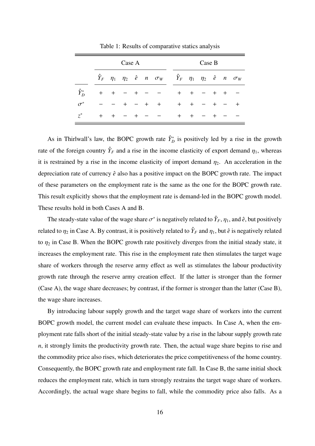|               | Case A |       |       |  |     |                                                                                           |        | Case B |        |  |        |       |  |  |
|---------------|--------|-------|-------|--|-----|-------------------------------------------------------------------------------------------|--------|--------|--------|--|--------|-------|--|--|
|               |        |       |       |  |     | $\hat{Y}_F$ $\eta_1$ $\eta_2$ ê n $\sigma_W$ $\hat{Y}_F$ $\eta_1$ $\eta_2$ ê n $\sigma_W$ |        |        |        |  |        |       |  |  |
| $\hat{Y}_D^*$ | $+$    | $\pm$ |       |  |     |                                                                                           | $+$    |        | $^{+}$ |  | $^{+}$ | $\pm$ |  |  |
| $\sigma^*$    |        |       | $\pm$ |  | $+$ | $+$                                                                                       | $^{+}$ |        | $+$    |  |        |       |  |  |
| $z^*$         | $+$    |       |       |  |     |                                                                                           | $^{+}$ |        | $+$    |  |        |       |  |  |

Table 1: Results of comparative statics analysis

As in Thirlwall's law, the BOPC growth rate  $\hat{Y}_{D}^{*}$  is positively led by a rise in the growth rate of the foreign country  $\hat{Y}_F$  and a rise in the income elasticity of export demand  $\eta_1$ , whereas it is restrained by a rise in the income elasticity of import demand  $\eta_2$ . An acceleration in the depreciation rate of currency  $\hat{e}$  also has a positive impact on the BOPC growth rate. The impact of these parameters on the employment rate is the same as the one for the BOPC growth rate. This result explicitly shows that the employment rate is demand-led in the BOPC growth model. These results hold in both Cases A and B.

The steady-state value of the wage share  $\sigma^*$  is negatively related to  $\hat{Y}_F$ ,  $\eta_1$ , and  $\hat{e}$ , but positively related to  $\eta_2$  in Case A. By contrast, it is positively related to  $\hat{Y}_F$  and  $\eta_1$ , but  $\hat{e}$  is negatively related to  $\eta_2$  in Case B. When the BOPC growth rate positively diverges from the initial steady state, it increases the employment rate. This rise in the employment rate then stimulates the target wage share of workers through the reserve army effect as well as stimulates the labour productivity growth rate through the reserve army creation effect. If the latter is stronger than the former (Case A), the wage share decreases; by contrast, if the former is stronger than the latter (Case B), the wage share increases.

By introducing labour supply growth and the target wage share of workers into the current BOPC growth model, the current model can evaluate these impacts. In Case A, when the employment rate falls short of the initial steady-state value by a rise in the labour supply growth rate *n*, it strongly limits the productivity growth rate. Then, the actual wage share begins to rise and the commodity price also rises, which deteriorates the price competitiveness of the home country. Consequently, the BOPC growth rate and employment rate fall. In Case B, the same initial shock reduces the employment rate, which in turn strongly restrains the target wage share of workers. Accordingly, the actual wage share begins to fall, while the commodity price also falls. As a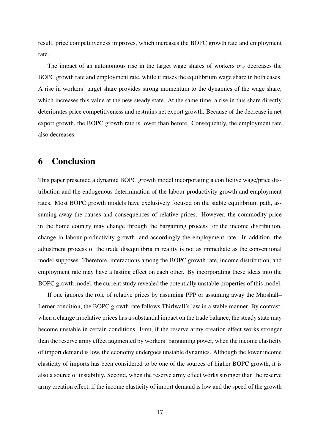result, price competitiveness improves, which increases the BOPC growth rate and employment rate.

The impact of an autonomous rise in the target wage shares of workers  $\sigma_W$  decreases the BOPC growth rate and employment rate, while it raises the equilibrium wage share in both cases. A rise in workers' target share provides strong momentum to the dynamics of the wage share, which increases this value at the new steady state. At the same time, a rise in this share directly deteriorates price competitiveness and restrains net export growth. Because of the decrease in net export growth, the BOPC growth rate is lower than before. Consequently, the employment rate also decreases.

## **6 Conclusion**

This paper presented a dynamic BOPC growth model incorporating a conflictive wage/price distribution and the endogenous determination of the labour productivity growth and employment rates. Most BOPC growth models have exclusively focused on the stable equilibrium path, assuming away the causes and consequences of relative prices. However, the commodity price in the home country may change through the bargaining process for the income distribution, change in labour productivity growth, and accordingly the employment rate. In addition, the adjustment process of the trade disequilibria in reality is not as immediate as the conventional model supposes. Therefore, interactions among the BOPC growth rate, income distribution, and employment rate may have a lasting effect on each other. By incorporating these ideas into the BOPC growth model, the current study revealed the potentially unstable properties of this model.

If one ignores the role of relative prices by assuming PPP or assuming away the Marshall– Lerner condition, the BOPC growth rate follows Thirlwall's law in a stable manner. By contrast, when a change in relative prices has a substantial impact on the trade balance, the steady state may become unstable in certain conditions. First, if the reserve army creation effect works stronger than the reserve army effect augmented by workers' bargaining power, when the income elasticity of import demand is low, the economy undergoes unstable dynamics. Although the lower income elasticity of imports has been considered to be one of the sources of higher BOPC growth, it is also a source of instability. Second, when the reserve army effect works stronger than the reserve army creation effect, if the income elasticity of import demand is low and the speed of the growth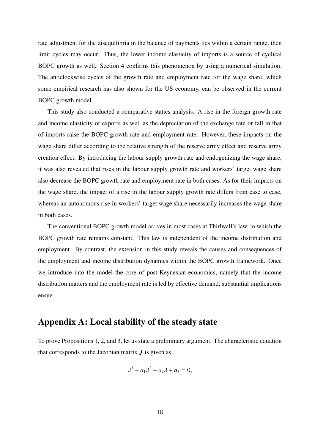rate adjustment for the disequilibria in the balance of payments lies within a certain range, then limit cycles may occur. Thus, the lower income elasticity of imports is a source of cyclical BOPC growth as well. Section 4 confirms this phenomenon by using a numerical simulation. The anticlockwise cycles of the growth rate and employment rate for the wage share, which some empirical research has also shown for the US economy, can be observed in the current BOPC growth model.

This study also conducted a comparative statics analysis. A rise in the foreign growth rate and income elasticity of exports as well as the depreciation of the exchange rate or fall in that of imports raise the BOPC growth rate and employment rate. However, these impacts on the wage share differ according to the relative strength of the reserve army effect and reserve army creation effect. By introducing the labour supply growth rate and endogenizing the wage share, it was also revealed that rises in the labour supply growth rate and workers' target wage share also decrease the BOPC growth rate and employment rate in both cases. As for their impacts on the wage share, the impact of a rise in the labour supply growth rate differs from case to case, whereas an autonomous rise in workers' target wage share necessarily increases the wage share in both cases.

The conventional BOPC growth model arrives in most cases at Thirlwall's law, in which the BOPC growth rate remains constant. This law is independent of the income distribution and employment. By contrast, the extension in this study reveals the causes and consequences of the employment and income distribution dynamics within the BOPC growth framework. Once we introduce into the model the core of post-Keynesian economics, namely that the income distribution matters and the employment rate is led by effective demand, substantial implications ensue.

## **Appendix A: Local stability of the steady state**

To prove Propositions 1, 2, and 3, let us state a preliminary argument. The characteristic equation that corresponds to the Jacobian matrix *J* is given as

$$
\lambda^3 + a_1 \lambda^2 + a_2 \lambda + a_3 = 0,
$$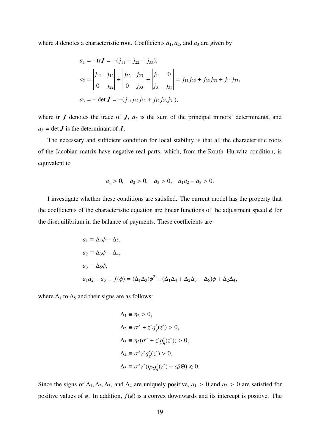where  $\lambda$  denotes a characteristic root. Coefficients  $a_1, a_2$ , and  $a_3$  are given by

$$
a_1 = -\text{tr}\mathbf{J} = -(j_{11} + j_{22} + j_{33}),
$$
  
\n
$$
a_2 = \begin{vmatrix} j_{11} & j_{12} \\ 0 & j_{22} \end{vmatrix} + \begin{vmatrix} j_{22} & j_{23} \\ 0 & j_{33} \end{vmatrix} + \begin{vmatrix} j_{11} & 0 \\ j_{31} & j_{33} \end{vmatrix} = j_{11}j_{22} + j_{22}j_{33} + j_{11}j_{33},
$$
  
\n
$$
a_3 = -\det \mathbf{J} = -(j_{11}j_{22}j_{33} + j_{12}j_{23}j_{31}),
$$

where tr  $J$  denotes the trace of  $J$ ,  $a_2$  is the sum of the principal minors' determinants, and  $a_3$  = det *J* is the determinant of *J*.

The necessary and sufficient condition for local stability is that all the characteristic roots of the Jacobian matrix have negative real parts, which, from the Routh–Hurwitz condition, is equivalent to

$$
a_1 > 0
$$
,  $a_2 > 0$ ,  $a_3 > 0$ ,  $a_1 a_2 - a_3 > 0$ .

I investigate whether these conditions are satisfied. The current model has the property that the coefficients of the characteristic equation are linear functions of the adjustment speed  $\phi$  for the disequilibrium in the balance of payments. These coefficients are

$$
a_1 \equiv \Delta_1 \phi + \Delta_2,
$$
  
\n
$$
a_2 \equiv \Delta_3 \phi + \Delta_4,
$$
  
\n
$$
a_3 \equiv \Delta_5 \phi,
$$
  
\n
$$
a_1 a_2 - a_3 \equiv f(\phi) = (\Delta_1 \Delta_3) \phi^2 + (\Delta_1 \Delta_4 + \Delta_2 \Delta_3 - \Delta_5) \phi + \Delta_2 \Delta_4,
$$

where  $\Delta_1$  to  $\Delta_5$  and their signs are as follows:

$$
\Delta_1 \equiv \eta_2 > 0,
$$
  
\n
$$
\Delta_2 \equiv \sigma^* + z^* g'_q(z^*) > 0,
$$
  
\n
$$
\Delta_3 \equiv \eta_2(\sigma^* + z^* g'_q(z^*)) > 0,
$$
  
\n
$$
\Delta_4 \equiv \sigma^* z^* g'_q(z^*) > 0,
$$
  
\n
$$
\Delta_5 \equiv \sigma^* z^* (\eta_2 g'_q(z^*) - \epsilon \beta \Theta) \ge 0.
$$

Since the signs of  $\Delta_1, \Delta_2, \Delta_3$ , and  $\Delta_4$  are uniquely positive,  $a_1 > 0$  and  $a_2 > 0$  are satisfied for positive values of  $\phi$ . In addition,  $f(\phi)$  is a convex downwards and its intercept is positive. The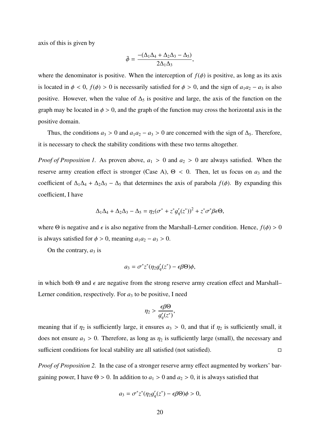axis of this is given by

$$
\bar{\phi} = \frac{-(\Delta_1 \Delta_4 + \Delta_2 \Delta_3 - \Delta_5)}{2\Delta_1 \Delta_3},
$$

where the denominator is positive. When the interception of  $f(\phi)$  is positive, as long as its axis is located in  $\phi < 0$ ,  $f(\phi) > 0$  is necessarily satisfied for  $\phi > 0$ , and the sign of  $a_1 a_2 - a_3$  is also positive. However, when the value of  $\Delta_5$  is positive and large, the axis of the function on the graph may be located in  $\phi > 0$ , and the graph of the function may cross the horizontal axis in the positive domain.

Thus, the conditions  $a_3 > 0$  and  $a_1a_2 - a_3 > 0$  are concerned with the sign of  $\Delta_5$ . Therefore, it is necessary to check the stability conditions with these two terms altogether.

*Proof of Proposition 1.* As proven above,  $a_1 > 0$  and  $a_2 > 0$  are always satisfied. When the reserve army creation effect is stronger (Case A),  $\Theta$  < 0. Then, let us focus on  $a_3$  and the coefficient of  $\Delta_1\Delta_4 + \Delta_2\Delta_3 - \Delta_5$  that determines the axis of parabola  $f(\phi)$ . By expanding this coefficient, I have

$$
\Delta_1\Delta_4 + \Delta_2\Delta_3 - \Delta_5 = \eta_2(\sigma^* + z^*g_q'(z^*))^2 + z^*\sigma^*\beta\epsilon\Theta,
$$

where  $\Theta$  is negative and  $\epsilon$  is also negative from the Marshall–Lerner condition. Hence,  $f(\phi) > 0$ is always satisfied for  $\phi > 0$ , meaning  $a_1 a_2 - a_3 > 0$ .

On the contrary,  $a_3$  is

$$
a_3 = \sigma^* z^* (\eta_2 g_q'(z^*) - \epsilon \beta \Theta) \phi,
$$

in which both  $\Theta$  and  $\epsilon$  are negative from the strong reserve army creation effect and Marshall– Lerner condition, respectively. For  $a_3$  to be positive, I need

$$
\eta_2 > \frac{\epsilon \beta \Theta}{g_q'(z^*)},
$$

meaning that if  $\eta_2$  is sufficiently large, it ensures  $a_3 > 0$ , and that if  $\eta_2$  is sufficiently small, it does not ensure  $a_3 > 0$ . Therefore, as long as  $\eta_2$  is sufficiently large (small), the necessary and sufficient conditions for local stability are all satisfied (not satisfied).

*Proof of Proposition 2.* In the case of a stronger reserve army effect augmented by workers' bargaining power, I have  $\Theta > 0$ . In addition to  $a_1 > 0$  and  $a_2 > 0$ , it is always satisfied that

$$
a_3 = \sigma^* z^* (\eta_2 g_q'(z^*) - \epsilon \beta \Theta) \phi > 0,
$$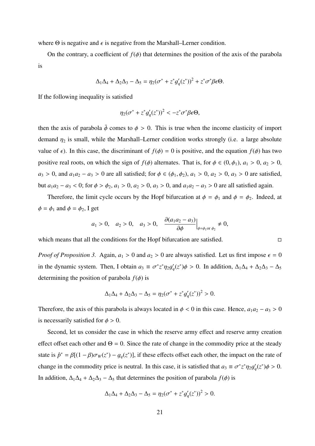where  $\Theta$  is negative and  $\epsilon$  is negative from the Marshall–Lerner condition.

On the contrary, a coefficient of  $f(\phi)$  that determines the position of the axis of the parabola is

$$
\Delta_1 \Delta_4 + \Delta_2 \Delta_3 - \Delta_5 = \eta_2 (\sigma^* + z^* g_q'(z^*))^2 + z^* \sigma^* \beta \epsilon \Theta.
$$

If the following inequality is satisfied

$$
\eta_2(\sigma^*+z^*g'_q(z^*))^2 < -z^*\sigma^*\beta\epsilon\Theta,
$$

then the axis of parabola  $\bar{\phi}$  comes to  $\phi > 0$ . This is true when the income elasticity of import demand  $\eta_2$  is small, while the Marshall–Lerner condition works strongly (i.e. a large absolute value of  $\epsilon$ ). In this case, the discriminant of  $f(\phi) = 0$  is positive, and the equation  $f(\phi)$  has two positive real roots, on which the sign of  $f(\phi)$  alternates. That is, for  $\phi \in (0, \phi_1)$ ,  $a_1 > 0$ ,  $a_2 > 0$ , *a*<sub>3</sub> > 0, and *a*<sub>1</sub>*a*<sub>2</sub> − *a*<sub>3</sub> > 0 are all satisfied; for  $\phi \in (\phi_1, \phi_2)$ , *a*<sub>1</sub> > 0, *a*<sub>2</sub> > 0, *a*<sub>3</sub> > 0 are satisfied, but *a*1*a*<sup>2</sup> − *a*<sup>3</sup> < 0; for ϕ > ϕ2, *a*<sup>1</sup> > 0, *a*<sup>2</sup> > 0, *a*<sup>3</sup> > 0, and *a*1*a*<sup>2</sup> − *a*<sup>3</sup> > 0 are all satisfied again.

Therefore, the limit cycle occurs by the Hopf bifurcation at  $\phi = \phi_1$  and  $\phi = \phi_2$ . Indeed, at  $\phi = \phi_1$  and  $\phi = \phi_2$ , I get

$$
a_1 > 0
$$
,  $a_2 > 0$ ,  $a_3 > 0$ ,  $\left. \frac{\partial (a_1 a_2 - a_3)}{\partial \phi} \right|_{\phi = \phi_1 \text{ or } \phi_2} \neq 0$ 

which means that all the conditions for the Hopf bifurcation are satisfied.

*Proof of Proposition 3.* Again,  $a_1 > 0$  and  $a_2 > 0$  are always satisfied. Let us first impose  $\epsilon = 0$ in the dynamic system. Then, I obtain  $a_3 \equiv \sigma^* z^* \eta_2 g'_a$  $q'(z^*)\phi > 0$ . In addition,  $\Delta_1\Delta_4 + \Delta_2\Delta_3 - \Delta_5$ determining the position of parabola  $f(\phi)$  is

$$
\Delta_1 \Delta_4 + \Delta_2 \Delta_3 - \Delta_5 = \eta_2 (\sigma^* + z^* g_q' (z^*))^2 > 0.
$$

Therefore, the axis of this parabola is always located in  $\phi < 0$  in this case. Hence,  $a_1 a_2 - a_3 > 0$ is necessarily satisfied for  $\phi > 0$ .

Second, let us consider the case in which the reserve army effect and reserve army creation effect offset each other and  $\Theta = 0$ . Since the rate of change in the commodity price at the steady state is  $\hat{p}^* = \beta[(1-\beta)\sigma_w(z^*) - g_q(z^*)]$ , if these effects offset each other, the impact on the rate of change in the commodity price is neutral. In this case, it is satisfied that  $a_3 \equiv \sigma^* z^* \eta_2 g'_i$  $'_{q}(z^{*})\phi > 0.$ In addition,  $\Delta_1\Delta_4 + \Delta_2\Delta_3 - \Delta_5$  that determines the position of parabola  $f(\phi)$  is

$$
\Delta_1 \Delta_4 + \Delta_2 \Delta_3 - \Delta_5 = \eta_2 (\sigma^* + z^* g_q' (z^*))^2 > 0.
$$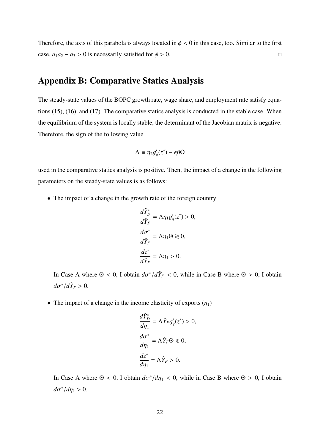Therefore, the axis of this parabola is always located in  $\phi < 0$  in this case, too. Similar to the first case,  $a_1a_2 - a_3 > 0$  is necessarily satisfied for  $\phi > 0$ .

## **Appendix B: Comparative Statics Analysis**

The steady-state values of the BOPC growth rate, wage share, and employment rate satisfy equations (15), (16), and (17). The comparative statics analysis is conducted in the stable case. When the equilibrium of the system is locally stable, the determinant of the Jacobian matrix is negative. Therefore, the sign of the following value

$$
\Lambda \equiv \eta_2 g'_q(z^*) - \epsilon \beta \Theta
$$

used in the comparative statics analysis is positive. Then, the impact of a change in the following parameters on the steady-state values is as follows:

• The impact of a change in the growth rate of the foreign country

$$
\frac{d\hat{Y}_D^*}{d\hat{Y}_F} = \Lambda \eta_1 g'_q(z^*) > 0,
$$
  

$$
\frac{d\sigma^*}{d\hat{Y}_F} = \Lambda \eta_1 \Theta \ge 0,
$$
  

$$
\frac{dz^*}{d\hat{Y}_F} = \Lambda \eta_1 > 0.
$$

In Case A where  $\Theta < 0$ , I obtain  $d\sigma^* / d\hat{Y}_F < 0$ , while in Case B where  $\Theta > 0$ , I obtain  $d\sigma^*/d\hat{Y}_F > 0.$ 

• The impact of a change in the income elasticity of exports  $(\eta_1)$ 

$$
\frac{d\hat{Y}_{D}^{*}}{d\eta_{1}} = \Lambda \hat{Y}_{F} g'_{q}(z^{*}) > 0,
$$

$$
\frac{d\sigma^{*}}{d\eta_{1}} = \Lambda \hat{Y}_{F} \Theta \ge 0,
$$

$$
\frac{dz^{*}}{d\eta_{1}} = \Lambda \hat{Y}_{F} > 0.
$$

In Case A where  $\Theta < 0$ , I obtain  $d\sigma^* / d\eta_1 < 0$ , while in Case B where  $\Theta > 0$ , I obtain  $d\sigma^*/d\eta_1 > 0.$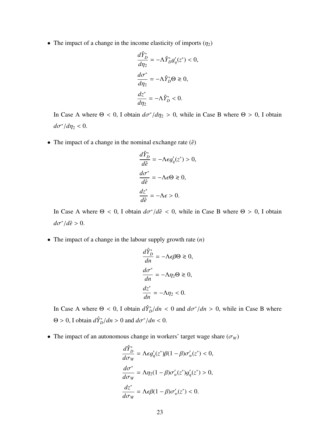• The impact of a change in the income elasticity of imports  $(\eta_2)$ 

$$
\frac{d\hat{Y}_{D}^{*}}{d\eta_{2}} = -\Lambda \hat{Y}_{D}^{*}g_{q}'(z^{*}) < 0,
$$

$$
\frac{d\sigma^{*}}{d\eta_{2}} = -\Lambda \hat{Y}_{D}^{*}\Theta \ge 0,
$$

$$
\frac{dz^{*}}{d\eta_{2}} = -\Lambda \hat{Y}_{D}^{*} < 0.
$$

In Case A where  $\Theta < 0$ , I obtain  $d\sigma^* / d\eta_2 > 0$ , while in Case B where  $\Theta > 0$ , I obtain  $d\sigma^*/d\eta_2 < 0.$ 

• The impact of a change in the nominal exchange rate  $(\hat{e})$ 

$$
\frac{d\hat{Y}_D^*}{d\hat{e}} = -\Lambda \epsilon g'_q(z^*) > 0,
$$
  

$$
\frac{d\sigma^*}{d\hat{e}} = -\Lambda \epsilon \Theta \ge 0,
$$
  

$$
\frac{dz^*}{d\hat{e}} = -\Lambda \epsilon > 0.
$$

In Case A where  $\Theta < 0$ , I obtain  $d\sigma^* / d\hat{e} < 0$ , while in Case B where  $\Theta > 0$ , I obtain *d*σ ∗ /*de*ˆ > 0.

• The impact of a change in the labour supply growth rate (*n*)

$$
\frac{d\hat{Y}_D^*}{dn} = -\Lambda \epsilon \beta \Theta \ge 0,
$$
  

$$
\frac{d\sigma^*}{dn} = -\Lambda \eta_2 \Theta \ge 0,
$$
  

$$
\frac{dz^*}{dn} = -\Lambda \eta_2 < 0.
$$

In Case A where  $\Theta < 0$ , I obtain  $\frac{d\hat{Y}_{D}^{*}}{dn} < 0$  and  $\frac{d\sigma^{*}}{dn} > 0$ , while in Case B where  $\Theta > 0$ , I obtain  $\frac{d\hat{Y}_D^*}{dn} > 0$  and  $\frac{d\sigma^*}{dn} < 0$ .

• The impact of an autonomous change in workers' target wage share  $(\sigma_W)$ 

$$
\frac{d\hat{Y}_D^*}{d\sigma_W} = \Lambda \epsilon g'_q(z^*) \beta (1 - \beta) \sigma'_w(z^*) < 0,
$$
  
\n
$$
\frac{d\sigma^*}{d\sigma_W} = \Lambda \eta_2 (1 - \beta) \sigma'_w(z^*) g'_q(z^*) > 0,
$$
  
\n
$$
\frac{dz^*}{d\sigma_W} = \Lambda \epsilon \beta (1 - \beta) \sigma'_w(z^*) < 0.
$$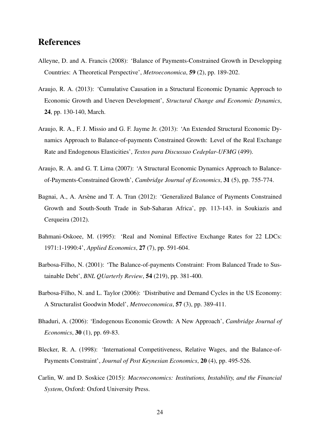## **References**

- Alleyne, D. and A. Francis (2008): 'Balance of Payments-Constrained Growth in Developping Countries: A Theoretical Perspective', *Metroeconomica*, **59** (2), pp. 189-202.
- Araujo, R. A. (2013): 'Cumulative Causation in a Structural Economic Dynamic Approach to Economic Growth and Uneven Development', *Structural Change and Economic Dynamics*, **24**, pp. 130-140, March.
- Araujo, R. A., F. J. Missio and G. F. Jayme Jr. (2013): 'An Extended Structural Economic Dynamics Approach to Balance-of-payments Constrained Growth: Level of the Real Exchange Rate and Endogenous Elasticities', *Textos para Discussao Cedeplar-UFMG* (499).
- Araujo, R. A. and G. T. Lima (2007): 'A Structural Economic Dynamics Approach to Balanceof-Payments-Constrained Growth', *Cambridge Journal of Economics*, **31** (5), pp. 755-774.
- Bagnai, A., A. Arsène and T. A. Tran (2012): 'Generalized Balance of Payments Constrained Growth and South-South Trade in Sub-Saharan Africa', pp. 113-143. in Soukiazis and Cerqueira (2012).
- Bahmani-Oskoee, M. (1995): 'Real and Nominal Effective Exchange Rates for 22 LDCs: 1971:1-1990:4', *Applied Economics*, **27** (7), pp. 591-604.
- Barbosa-Filho, N. (2001): 'The Balance-of-payments Constraint: From Balanced Trade to Sustainable Debt', *BNL QUarterly Review*, **54** (219), pp. 381-400.
- Barbosa-Filho, N. and L. Taylor (2006): 'Distributive and Demand Cycles in the US Economy: A Structuralist Goodwin Model', *Metroeconomica*, **57** (3), pp. 389-411.
- Bhaduri, A. (2006): 'Endogenous Economic Growth: A New Approach', *Cambridge Journal of Economics*, **30** (1), pp. 69-83.
- Blecker, R. A. (1998): 'International Competitiveness, Relative Wages, and the Balance-of-Payments Constraint', *Journal of Post Keynesian Economics*, **20** (4), pp. 495-526.
- Carlin, W. and D. Soskice (2015): *Macroeconomics: Institutions, Instability, and the Financial System*, Oxford: Oxford University Press.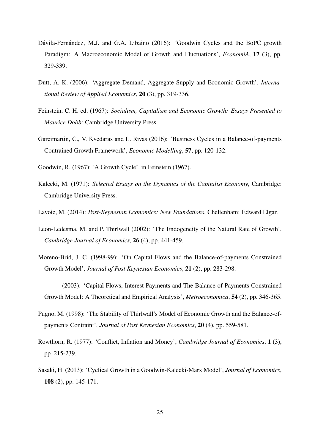- Dávila-Fernández, M.J. and G.A. Libaino (2016): 'Goodwin Cycles and the BoPC growth Paradigm: A Macroeconomic Model of Growth and Fluctuations', *EconomiA*, **17** (3), pp. 329-339.
- Dutt, A. K. (2006): 'Aggregate Demand, Aggregate Supply and Economic Growth', *International Review of Applied Economics*, **20** (3), pp. 319-336.
- Feinstein, C. H. ed. (1967): *Socialism, Capitalism and Economic Growth: Essays Presented to Maurice Dobb*: Cambridge University Press.
- Garcimartin, C., V. Kvedaras and L. Rivas (2016): 'Business Cycles in a Balance-of-payments Contrained Growth Framework', *Economic Modelling*, **57**, pp. 120-132.
- Goodwin, R. (1967): 'A Growth Cycle'. in Feinstein (1967).
- Kalecki, M. (1971): *Selected Essays on the Dynamics of the Capitalist Economy*, Cambridge: Cambridge University Press.
- Lavoie, M. (2014): *Post-Keynesian Economics: New Foundations*, Cheltenham: Edward Elgar.
- Leon-Ledesma, M. and P. Thirlwall (2002): 'The Endogeneity of the Natural Rate of Growth', *Cambridge Journal of Economics*, **26** (4), pp. 441-459.
- Moreno-Brid, J. C. (1998-99): 'On Capital Flows and the Balance-of-payments Constrained Growth Model', *Journal of Post Keynesian Economics*, **21** (2), pp. 283-298.
- (2003): 'Capital Flows, Interest Payments and The Balance of Payments Constrained Growth Model: A Theoretical and Empirical Analysis', *Metroeconomica*, **54** (2), pp. 346-365.
- Pugno, M. (1998): 'The Stability of Thirlwall's Model of Economic Growth and the Balance-ofpayments Contraint', *Journal of Post Keynesian Economics*, **20** (4), pp. 559-581.
- Rowthorn, R. (1977): 'Conflict, Inflation and Money', *Cambridge Journal of Economics*, **1** (3), pp. 215-239.
- Sasaki, H. (2013): 'Cyclical Growth in a Goodwin-Kalecki-Marx Model', *Journal of Economics*, **108** (2), pp. 145-171.